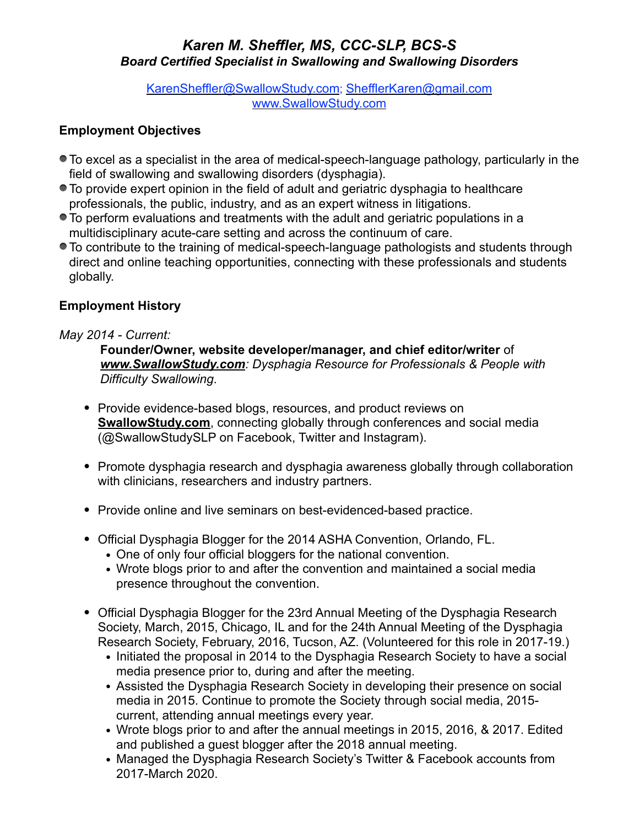## *Karen M. Sheffler, MS, CCC-SLP, BCS-S Board Certified Specialist in Swallowing and Swallowing Disorders*

[KarenSheffler@SwallowStudy.com;](mailto:KarenSheffler@SwallowStudy.com) [ShefflerKaren@gmail.com](mailto:ShefflerKaren@gmail.com) [www.SwallowStudy.com](http://www.SwallowStudy.com)

## **Employment Objectives**

- To excel as a specialist in the area of medical-speech-language pathology, particularly in the field of swallowing and swallowing disorders (dysphagia).
- To provide expert opinion in the field of adult and geriatric dysphagia to healthcare professionals, the public, industry, and as an expert witness in litigations.
- To perform evaluations and treatments with the adult and geriatric populations in a multidisciplinary acute-care setting and across the continuum of care.
- To contribute to the training of medical-speech-language pathologists and students through direct and online teaching opportunities, connecting with these professionals and students globally.

# **Employment History**

## *May 2014 - Current:*

**Founder/Owner, website developer/manager, and chief editor/writer** of *[www.SwallowStudy.com](http://www.SwallowStudy.com): Dysphagia Resource for Professionals & People with Difficulty Swallowing*.

- **•** Provide evidence-based blogs, resources, and product reviews on **[SwallowStudy.com](http://SwallowStudy.com)**, connecting globally through conferences and social media (@SwallowStudySLP on Facebook, Twitter and Instagram).
- **•** Promote dysphagia research and dysphagia awareness globally through collaboration with clinicians, researchers and industry partners.
- **•** Provide online and live seminars on best-evidenced-based practice.
- **•** Official Dysphagia Blogger for the 2014 ASHA Convention, Orlando, FL.
	- **•** One of only four official bloggers for the national convention.
	- **•** Wrote blogs prior to and after the convention and maintained a social media presence throughout the convention.
- **•** Official Dysphagia Blogger for the 23rd Annual Meeting of the Dysphagia Research Society, March, 2015, Chicago, IL and for the 24th Annual Meeting of the Dysphagia Research Society, February, 2016, Tucson, AZ. (Volunteered for this role in 2017-19.)
	- **•** Initiated the proposal in 2014 to the Dysphagia Research Society to have a social media presence prior to, during and after the meeting.
	- **•** Assisted the Dysphagia Research Society in developing their presence on social media in 2015. Continue to promote the Society through social media, 2015 current, attending annual meetings every year.
	- **•** Wrote blogs prior to and after the annual meetings in 2015, 2016, & 2017. Edited and published a guest blogger after the 2018 annual meeting.
	- **•** Managed the Dysphagia Research Society's Twitter & Facebook accounts from 2017-March 2020.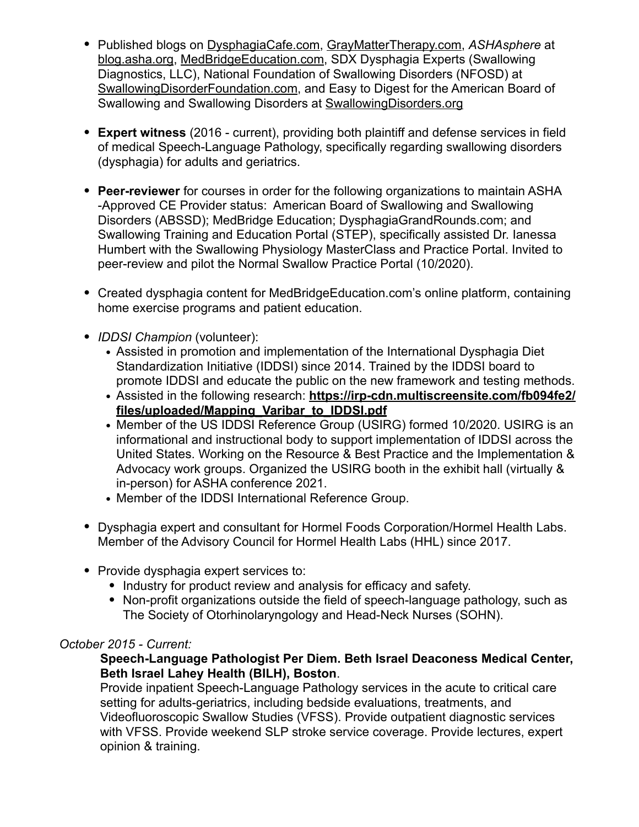- **•** Published blogs on [DysphagiaCafe.com,](http://DysphagiaCafe.com) [GrayMatterTherapy.com](http://GrayMatterTherapy.com), *ASHAsphere* at [blog.asha.org](http://blog.asha.org), [MedBridgeEducation.com,](http://MedBridgeEducation.com) SDX Dysphagia Experts (Swallowing Diagnostics, LLC), National Foundation of Swallowing Disorders (NFOSD) at [SwallowingDisorderFoundation.com](http://SwallowingDisorderFoundation.com), and Easy to Digest for the American Board of Swallowing and Swallowing Disorders at [SwallowingDisorders.org](http://SwallowingDisorders.org)
- **• Expert witness** (2016 current), providing both plaintiff and defense services in field of medical Speech-Language Pathology, specifically regarding swallowing disorders (dysphagia) for adults and geriatrics.
- **• Peer-reviewer** for courses in order for the following organizations to maintain ASHA -Approved CE Provider status: American Board of Swallowing and Swallowing Disorders (ABSSD); MedBridge Education; DysphagiaGrandRounds.com; and Swallowing Training and Education Portal (STEP), specifically assisted Dr. Ianessa Humbert with the Swallowing Physiology MasterClass and Practice Portal. Invited to peer-review and pilot the Normal Swallow Practice Portal (10/2020).
- **•** Created dysphagia content for MedBridgeEducation.com's online platform, containing home exercise programs and patient education.
- **•** *IDDSI Champion* (volunteer):
	- **•** Assisted in promotion and implementation of the International Dysphagia Diet Standardization Initiative (IDDSI) since 2014. Trained by the IDDSI board to promote IDDSI and educate the public on the new framework and testing methods.
	- **•** Assisted in the following research: **[https://irp-cdn.multiscreensite.com/fb094fe2/](https://irp-cdn.multiscreensite.com/fb094fe2/files/uploaded/Mapping_Varibar_to_IDDSI.pdf) [files/uploaded/Mapping\\_Varibar\\_to\\_IDDSI.pdf](https://irp-cdn.multiscreensite.com/fb094fe2/files/uploaded/Mapping_Varibar_to_IDDSI.pdf)**
	- **•** Member of the US IDDSI Reference Group (USIRG) formed 10/2020. USIRG is an informational and instructional body to support implementation of IDDSI across the United States. Working on the Resource & Best Practice and the Implementation & Advocacy work groups. Organized the USIRG booth in the exhibit hall (virtually & in-person) for ASHA conference 2021.
	- **•** Member of the IDDSI International Reference Group.
- **•** Dysphagia expert and consultant for Hormel Foods Corporation/Hormel Health Labs. Member of the Advisory Council for Hormel Health Labs (HHL) since 2017.
- **•** Provide dysphagia expert services to:
	- **•** Industry for product review and analysis for efficacy and safety.
	- **•** Non-profit organizations outside the field of speech-language pathology, such as The Society of Otorhinolaryngology and Head-Neck Nurses (SOHN).

## *October 2015 - Current:*

## **Speech-Language Pathologist Per Diem. Beth Israel Deaconess Medical Center, Beth Israel Lahey Health (BILH), Boston**.

Provide inpatient Speech-Language Pathology services in the acute to critical care setting for adults-geriatrics, including bedside evaluations, treatments, and Videofluoroscopic Swallow Studies (VFSS). Provide outpatient diagnostic services with VFSS. Provide weekend SLP stroke service coverage. Provide lectures, expert opinion & training.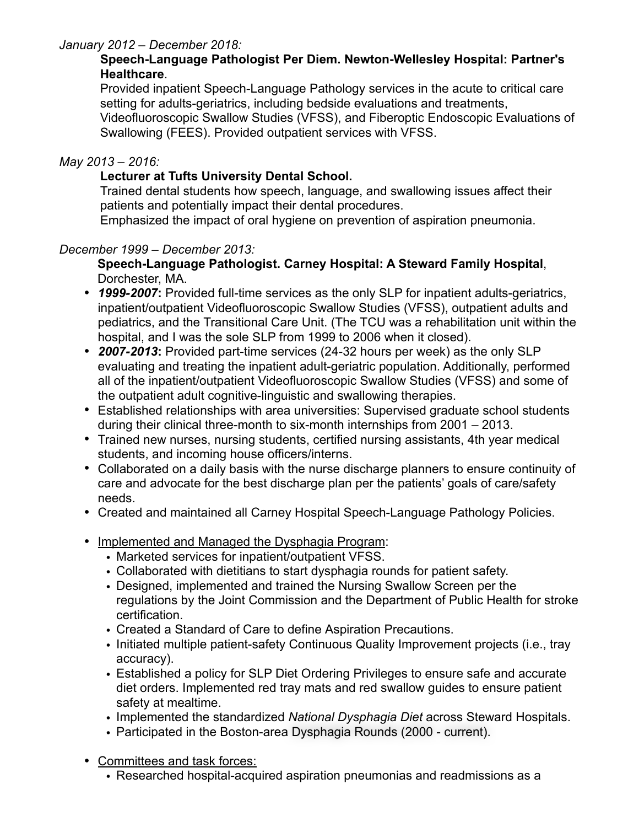## *January 2012 – December 2018:*

## **Speech-Language Pathologist Per Diem. Newton-Wellesley Hospital: Partner's Healthcare**.

Provided inpatient Speech-Language Pathology services in the acute to critical care setting for adults-geriatrics, including bedside evaluations and treatments, Videofluoroscopic Swallow Studies (VFSS), and Fiberoptic Endoscopic Evaluations of Swallowing (FEES). Provided outpatient services with VFSS.

## *May 2013 – 2016:*

## **Lecturer at Tufts University Dental School.**

Trained dental students how speech, language, and swallowing issues affect their patients and potentially impact their dental procedures.

Emphasized the impact of oral hygiene on prevention of aspiration pneumonia.

## *December 1999 – December 2013:*

#### **Speech-Language Pathologist. Carney Hospital: A Steward Family Hospital**, Dorchester, MA.

- *1999-2007***:** Provided full-time services as the only SLP for inpatient adults-geriatrics, inpatient/outpatient Videofluoroscopic Swallow Studies (VFSS), outpatient adults and pediatrics, and the Transitional Care Unit. (The TCU was a rehabilitation unit within the hospital, and I was the sole SLP from 1999 to 2006 when it closed).
- *2007-2013***:** Provided part-time services (24-32 hours per week) as the only SLP evaluating and treating the inpatient adult-geriatric population. Additionally, performed all of the inpatient/outpatient Videofluoroscopic Swallow Studies (VFSS) and some of the outpatient adult cognitive-linguistic and swallowing therapies.
- Established relationships with area universities: Supervised graduate school students during their clinical three-month to six-month internships from 2001 – 2013.
- Trained new nurses, nursing students, certified nursing assistants, 4th year medical students, and incoming house officers/interns.
- Collaborated on a daily basis with the nurse discharge planners to ensure continuity of care and advocate for the best discharge plan per the patients' goals of care/safety needs.
- Created and maintained all Carney Hospital Speech-Language Pathology Policies.
- Implemented and Managed the Dysphagia Program:
	- Marketed services for inpatient/outpatient VFSS.
	- Collaborated with dietitians to start dysphagia rounds for patient safety.
	- Designed, implemented and trained the Nursing Swallow Screen per the regulations by the Joint Commission and the Department of Public Health for stroke certification.
	- Created a Standard of Care to define Aspiration Precautions.
	- Initiated multiple patient-safety Continuous Quality Improvement projects (i.e., tray accuracy).
	- Established a policy for SLP Diet Ordering Privileges to ensure safe and accurate diet orders. Implemented red tray mats and red swallow guides to ensure patient safety at mealtime.
	- Implemented the standardized *National Dysphagia Diet* across Steward Hospitals.
	- Participated in the Boston-area Dysphagia Rounds (2000 current).
- Committees and task forces:
	- Researched hospital-acquired aspiration pneumonias and readmissions as a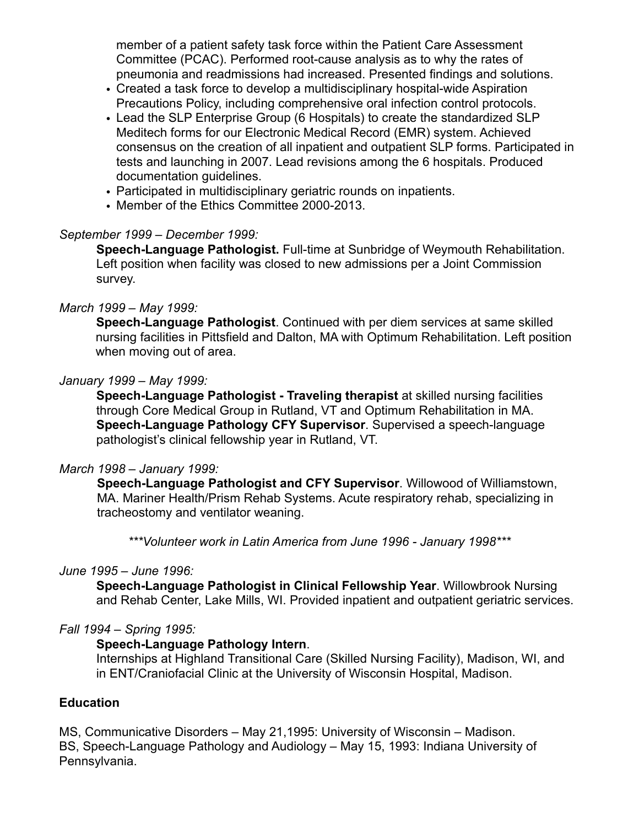member of a patient safety task force within the Patient Care Assessment Committee (PCAC). Performed root-cause analysis as to why the rates of pneumonia and readmissions had increased. Presented findings and solutions.

- Created a task force to develop a multidisciplinary hospital-wide Aspiration Precautions Policy, including comprehensive oral infection control protocols.
- Lead the SLP Enterprise Group (6 Hospitals) to create the standardized SLP Meditech forms for our Electronic Medical Record (EMR) system. Achieved consensus on the creation of all inpatient and outpatient SLP forms. Participated in tests and launching in 2007. Lead revisions among the 6 hospitals. Produced documentation guidelines.
- Participated in multidisciplinary geriatric rounds on inpatients.
- Member of the Ethics Committee 2000-2013.

## *September 1999 – December 1999:*

**Speech-Language Pathologist.** Full-time at Sunbridge of Weymouth Rehabilitation. Left position when facility was closed to new admissions per a Joint Commission survey.

## *March 1999 – May 1999:*

**Speech-Language Pathologist**. Continued with per diem services at same skilled nursing facilities in Pittsfield and Dalton, MA with Optimum Rehabilitation. Left position when moving out of area.

## *January 1999 – May 1999:*

**Speech-Language Pathologist - Traveling therapist** at skilled nursing facilities through Core Medical Group in Rutland, VT and Optimum Rehabilitation in MA. **Speech-Language Pathology CFY Supervisor**. Supervised a speech-language pathologist's clinical fellowship year in Rutland, VT.

#### *March 1998 – January 1999:*

**Speech-Language Pathologist and CFY Supervisor**. Willowood of Williamstown, MA. Mariner Health/Prism Rehab Systems. Acute respiratory rehab, specializing in tracheostomy and ventilator weaning.

*\*\*\*Volunteer work in Latin America from June 1996 - January 1998\*\*\**

#### *June 1995 – June 1996:*

**Speech-Language Pathologist in Clinical Fellowship Year**. Willowbrook Nursing and Rehab Center, Lake Mills, WI. Provided inpatient and outpatient geriatric services.

#### *Fall 1994 – Spring 1995:*

## **Speech-Language Pathology Intern**.

Internships at Highland Transitional Care (Skilled Nursing Facility), Madison, WI, and in ENT/Craniofacial Clinic at the University of Wisconsin Hospital, Madison.

#### **Education**

MS, Communicative Disorders – May 21,1995: University of Wisconsin – Madison. BS, Speech-Language Pathology and Audiology – May 15, 1993: Indiana University of Pennsylvania.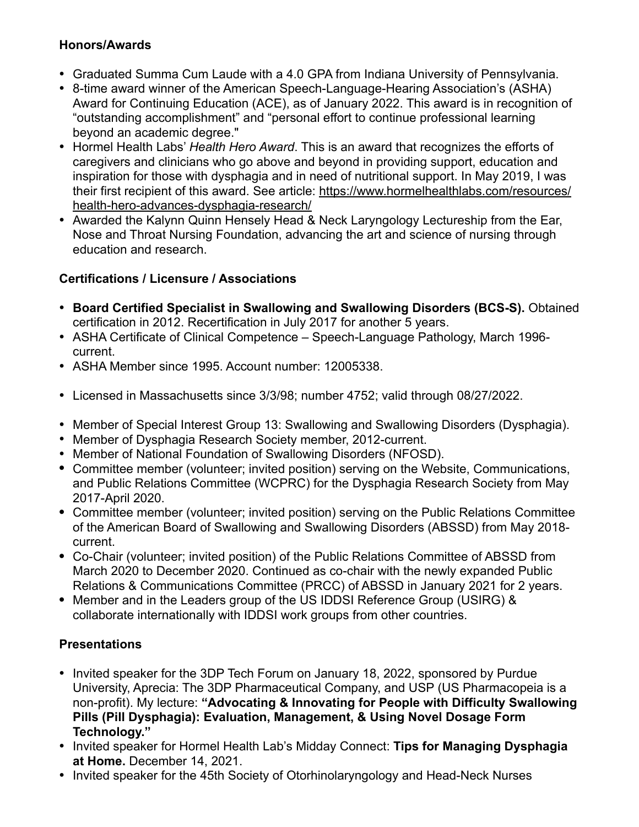# **Honors/Awards**

- Graduated Summa Cum Laude with a 4.0 GPA from Indiana University of Pennsylvania.
- 8-time award winner of the American Speech-Language-Hearing Association's (ASHA) Award for Continuing Education (ACE), as of January 2022. This award is in recognition of "outstanding accomplishment" and "personal effort to continue professional learning beyond an academic degree."
- Hormel Health Labs' *Health Hero Award*. This is an award that recognizes the efforts of caregivers and clinicians who go above and beyond in providing support, education and inspiration for those with dysphagia and in need of nutritional support. In May 2019, I was their first recipient of this award. See article: [https://www.hormelhealthlabs.com/resources/](https://www.hormelhealthlabs.com/resources/health-hero-advances-dysphagia-research/) [health-hero-advances-dysphagia-research/](https://www.hormelhealthlabs.com/resources/health-hero-advances-dysphagia-research/)
- Awarded the Kalynn Quinn Hensely Head & Neck Laryngology Lectureship from the Ear, Nose and Throat Nursing Foundation, advancing the art and science of nursing through education and research.

# **Certifications / Licensure / Associations**

- **Board Certified Specialist in Swallowing and Swallowing Disorders (BCS-S).** Obtained certification in 2012. Recertification in July 2017 for another 5 years.
- ASHA Certificate of Clinical Competence Speech-Language Pathology, March 1996 current.
- ASHA Member since 1995. Account number: 12005338.
- Licensed in Massachusetts since 3/3/98; number 4752; valid through 08/27/2022.
- Member of Special Interest Group 13: Swallowing and Swallowing Disorders (Dysphagia).
- Member of Dysphagia Research Society member, 2012-current.
- Member of National Foundation of Swallowing Disorders (NFOSD).
- **•** Committee member (volunteer; invited position) serving on the Website, Communications, and Public Relations Committee (WCPRC) for the Dysphagia Research Society from May 2017-April 2020.
- **•** Committee member (volunteer; invited position) serving on the Public Relations Committee of the American Board of Swallowing and Swallowing Disorders (ABSSD) from May 2018 current.
- **•** Co-Chair (volunteer; invited position) of the Public Relations Committee of ABSSD from March 2020 to December 2020. Continued as co-chair with the newly expanded Public Relations & Communications Committee (PRCC) of ABSSD in January 2021 for 2 years.
- **•** Member and in the Leaders group of the US IDDSI Reference Group (USIRG) & collaborate internationally with IDDSI work groups from other countries.

# **Presentations**

- Invited speaker for the 3DP Tech Forum on January 18, 2022, sponsored by Purdue University, Aprecia: The 3DP Pharmaceutical Company, and USP (US Pharmacopeia is a non-profit). My lecture: **"Advocating & Innovating for People with Difficulty Swallowing Pills (Pill Dysphagia): Evaluation, Management, & Using Novel Dosage Form Technology."**
- Invited speaker for Hormel Health Lab's Midday Connect: **Tips for Managing Dysphagia at Home.** December 14, 2021.
- Invited speaker for the 45th Society of Otorhinolaryngology and Head-Neck Nurses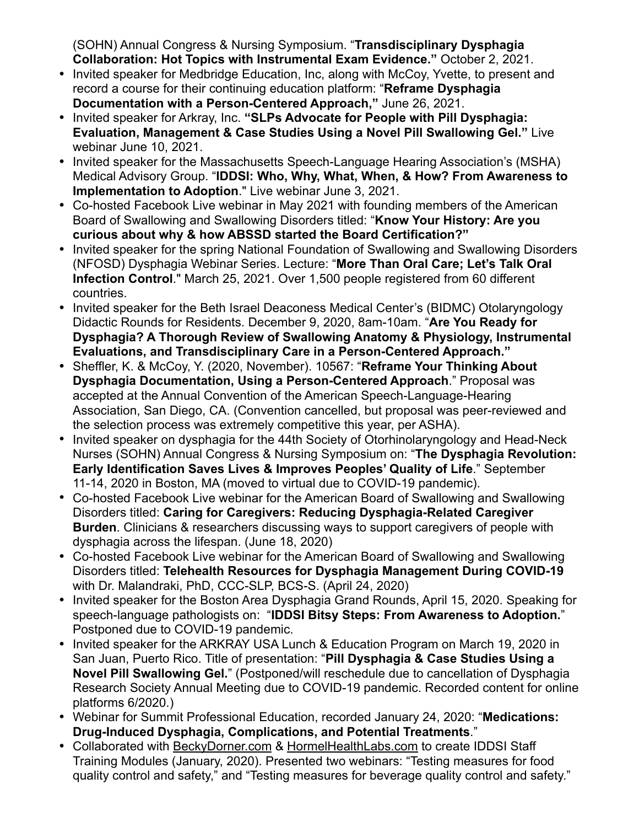(SOHN) Annual Congress & Nursing Symposium. "**Transdisciplinary Dysphagia Collaboration: Hot Topics with Instrumental Exam Evidence."** October 2, 2021.

- Invited speaker for Medbridge Education, Inc, along with McCoy, Yvette, to present and record a course for their continuing education platform: "**Reframe Dysphagia Documentation with a Person-Centered Approach,"** June 26, 2021.
- Invited speaker for Arkray, Inc. **"SLPs Advocate for People with Pill Dysphagia: Evaluation, Management & Case Studies Using a Novel Pill Swallowing Gel."** Live webinar June 10, 2021.
- Invited speaker for the Massachusetts Speech-Language Hearing Association's (MSHA) Medical Advisory Group. "**IDDSI: Who, Why, What, When, & How? From Awareness to Implementation to Adoption**." Live webinar June 3, 2021.
- Co-hosted Facebook Live webinar in May 2021 with founding members of the American Board of Swallowing and Swallowing Disorders titled: "**Know Your History: Are you curious about why & how ABSSD started the Board Certification?"**
- Invited speaker for the spring National Foundation of Swallowing and Swallowing Disorders (NFOSD) Dysphagia Webinar Series. Lecture: "**More Than Oral Care; Let's Talk Oral Infection Control**." March 25, 2021. Over 1,500 people registered from 60 different countries.
- Invited speaker for the Beth Israel Deaconess Medical Center's (BIDMC) Otolaryngology Didactic Rounds for Residents. December 9, 2020, 8am-10am. "**Are You Ready for Dysphagia? A Thorough Review of Swallowing Anatomy & Physiology, Instrumental Evaluations, and Transdisciplinary Care in a Person-Centered Approach."**
- Sheffler, K. & McCoy, Y. (2020, November). 10567: "**Reframe Your Thinking About Dysphagia Documentation, Using a Person-Centered Approach**." Proposal was accepted at the Annual Convention of the American Speech-Language-Hearing Association, San Diego, CA. (Convention cancelled, but proposal was peer-reviewed and the selection process was extremely competitive this year, per ASHA).
- Invited speaker on dysphagia for the 44th Society of Otorhinolaryngology and Head-Neck Nurses (SOHN) Annual Congress & Nursing Symposium on: "**The Dysphagia Revolution: Early Identification Saves Lives & Improves Peoples' Quality of Life**." September 11-14, 2020 in Boston, MA (moved to virtual due to COVID-19 pandemic).
- Co-hosted Facebook Live webinar for the American Board of Swallowing and Swallowing Disorders titled: **Caring for Caregivers: Reducing Dysphagia-Related Caregiver Burden**. Clinicians & researchers discussing ways to support caregivers of people with dysphagia across the lifespan. (June 18, 2020)
- Co-hosted Facebook Live webinar for the American Board of Swallowing and Swallowing Disorders titled: **Telehealth Resources for Dysphagia Management During COVID-19** with Dr. Malandraki, PhD, CCC-SLP, BCS-S. (April 24, 2020)
- Invited speaker for the Boston Area Dysphagia Grand Rounds, April 15, 2020. Speaking for speech-language pathologists on: "**IDDSI Bitsy Steps: From Awareness to Adoption.**" Postponed due to COVID-19 pandemic.
- Invited speaker for the ARKRAY USA Lunch & Education Program on March 19, 2020 in San Juan, Puerto Rico. Title of presentation: "**Pill Dysphagia & Case Studies Using a Novel Pill Swallowing Gel.**" (Postponed/will reschedule due to cancellation of Dysphagia Research Society Annual Meeting due to COVID-19 pandemic. Recorded content for online platforms 6/2020.)
- Webinar for Summit Professional Education, recorded January 24, 2020: "**Medications: Drug-Induced Dysphagia, Complications, and Potential Treatments**."
- Collaborated with [BeckyDorner.com](http://BeckyDorner.com) & [HormelHealthLabs.com](http://HormelHealthLabs.com) to create IDDSI Staff Training Modules (January, 2020). Presented two webinars: "Testing measures for food quality control and safety," and "Testing measures for beverage quality control and safety."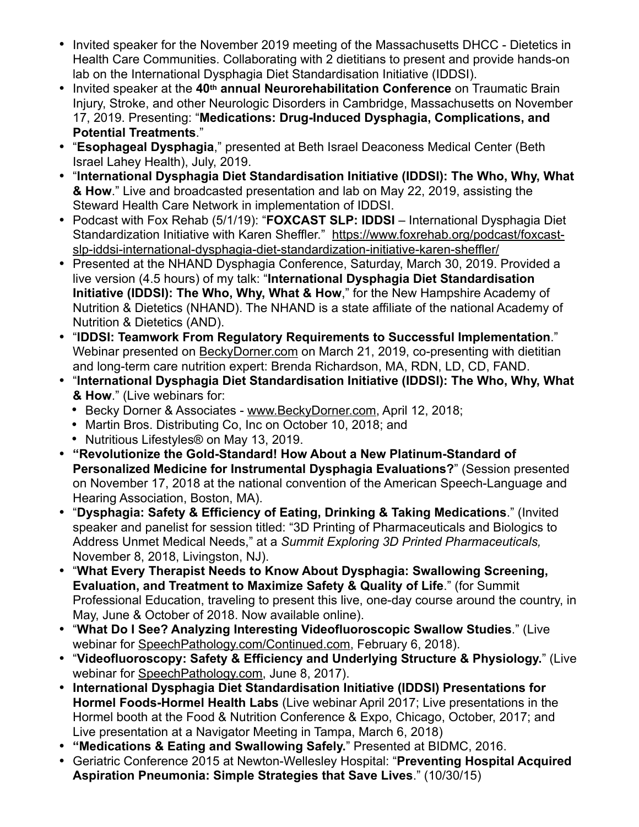- Invited speaker for the November 2019 meeting of the Massachusetts DHCC Dietetics in Health Care Communities. Collaborating with 2 dietitians to present and provide hands-on lab on the International Dysphagia Diet Standardisation Initiative (IDDSI).
- Invited speaker at the **40th annual Neurorehabilitation Conference** on Traumatic Brain Injury, Stroke, and other Neurologic Disorders in Cambridge, Massachusetts on November 17, 2019. Presenting: "**Medications: Drug-Induced Dysphagia, Complications, and Potential Treatments**."
- "**Esophageal Dysphagia**," presented at Beth Israel Deaconess Medical Center (Beth Israel Lahey Health), July, 2019.
- "**International Dysphagia Diet Standardisation Initiative (IDDSI): The Who, Why, What & How**." Live and broadcasted presentation and lab on May 22, 2019, assisting the Steward Health Care Network in implementation of IDDSI.
- Podcast with Fox Rehab (5/1/19): "**FOXCAST SLP: IDDSI** International Dysphagia Diet [Standardization Initiative with Karen Sheffler." https://www.foxrehab.org/podcast/foxcast](https://www.foxrehab.org/podcast/foxcast-slp-iddsi-international-dysphagia-diet-standardization-initiative-karen-sheffler/)[slp-iddsi-international-dysphagia-diet-standardization-initiative-karen-sheffler/](https://www.foxrehab.org/podcast/foxcast-slp-iddsi-international-dysphagia-diet-standardization-initiative-karen-sheffler/)
- Presented at the NHAND Dysphagia Conference, Saturday, March 30, 2019. Provided a live version (4.5 hours) of my talk: "**International Dysphagia Diet Standardisation Initiative (IDDSI): The Who, Why, What & How**," for the New Hampshire Academy of Nutrition & Dietetics (NHAND). The NHAND is a state affiliate of the national Academy of Nutrition & Dietetics (AND).
- "**IDDSI: Teamwork From Regulatory Requirements to Successful Implementation**." Webinar presented on [BeckyDorner.com](http://BeckyDorner.com) on March 21, 2019, co-presenting with dietitian and long-term care nutrition expert: Brenda Richardson, MA, RDN, LD, CD, FAND.
- "**International Dysphagia Diet Standardisation Initiative (IDDSI): The Who, Why, What & How**." (Live webinars for:
	- Becky Dorner & Associates - [www.BeckyDorner.com,](http://www.BeckyDorner.com) April 12, 2018;
	- Martin Bros. Distributing Co, Inc on October 10, 2018; and
	- Nutritious Lifestyles® on May 13, 2019.
- **"Revolutionize the Gold-Standard! How About a New Platinum-Standard of Personalized Medicine for Instrumental Dysphagia Evaluations?**" (Session presented on November 17, 2018 at the national convention of the American Speech-Language and Hearing Association, Boston, MA).
- "**Dysphagia: Safety & Efficiency of Eating, Drinking & Taking Medications**." (Invited speaker and panelist for session titled: "3D Printing of Pharmaceuticals and Biologics to Address Unmet Medical Needs," at a *Summit Exploring 3D Printed Pharmaceuticals,*  November 8, 2018, Livingston, NJ).
- "**What Every Therapist Needs to Know About Dysphagia: Swallowing Screening, Evaluation, and Treatment to Maximize Safety & Quality of Life**." (for Summit Professional Education, traveling to present this live, one-day course around the country, in May, June & October of 2018. Now available online).
- "**What Do I See? Analyzing Interesting Videofluoroscopic Swallow Studies**." (Live webinar for [SpeechPathology.com/Continued.com,](http://SpeechPathology.com/Continued.com) February 6, 2018).
- "**Videofluoroscopy: Safety & Efficiency and Underlying Structure & Physiology.**" (Live webinar for [SpeechPathology.com,](http://SpeechPathology.com) June 8, 2017).
- **International Dysphagia Diet Standardisation Initiative (IDDSI) Presentations for Hormel Foods-Hormel Health Labs** (Live webinar April 2017; Live presentations in the Hormel booth at the Food & Nutrition Conference & Expo, Chicago, October, 2017; and Live presentation at a Navigator Meeting in Tampa, March 6, 2018)
- **"Medications & Eating and Swallowing Safely.**" Presented at BIDMC, 2016.
- Geriatric Conference 2015 at Newton-Wellesley Hospital: "**Preventing Hospital Acquired Aspiration Pneumonia: Simple Strategies that Save Lives**." (10/30/15)